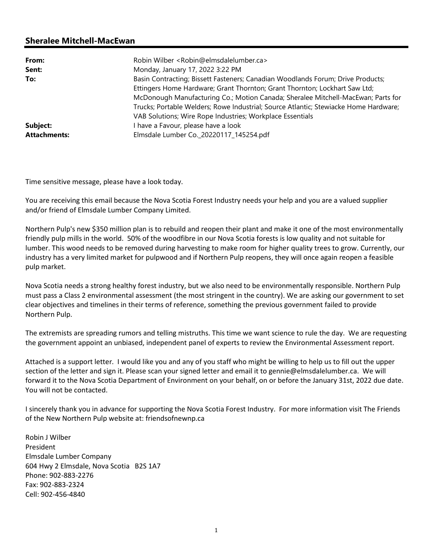## Sheralee Mitchell-MacEwan

| From:               | Robin Wilber <robin@elmsdalelumber.ca></robin@elmsdalelumber.ca>                     |
|---------------------|--------------------------------------------------------------------------------------|
| Sent:               | Monday, January 17, 2022 3:22 PM                                                     |
| To:                 | Basin Contracting; Bissett Fasteners; Canadian Woodlands Forum; Drive Products;      |
|                     | Ettingers Home Hardware; Grant Thornton; Grant Thornton; Lockhart Saw Ltd;           |
|                     | McDonough Manufacturing Co.; Motion Canada; Sheralee Mitchell-MacEwan; Parts for     |
|                     | Trucks; Portable Welders; Rowe Industrial; Source Atlantic; Stewiacke Home Hardware; |
|                     | VAB Solutions; Wire Rope Industries; Workplace Essentials                            |
| Subject:            | I have a Favour, please have a look                                                  |
| <b>Attachments:</b> | Elmsdale Lumber Co._20220117_145254.pdf                                              |

Time sensitive message, please have a look today.

You are receiving this email because the Nova Scotia Forest Industry needs your help and you are a valued supplier and/or friend of Elmsdale Lumber Company Limited.

Northern Pulp's new \$350 million plan is to rebuild and reopen their plant and make it one of the most environmentally friendly pulp mills in the world. 50% of the woodfibre in our Nova Scotia forests is low quality and not suitable for lumber. This wood needs to be removed during harvesting to make room for higher quality trees to grow. Currently, our industry has a very limited market for pulpwood and if Northern Pulp reopens, they will once again reopen a feasible pulp market.

Nova Scotia needs a strong healthy forest industry, but we also need to be environmentally responsible. Northern Pulp must pass a Class 2 environmental assessment (the most stringent in the country). We are asking our government to set clear objectives and timelines in their terms of reference, something the previous government failed to provide Northern Pulp.

The extremists are spreading rumors and telling mistruths. This time we want science to rule the day. We are requesting the government appoint an unbiased, independent panel of experts to review the Environmental Assessment report.

Attached is a support letter. I would like you and any of you staff who might be willing to help us to fill out the upper section of the letter and sign it. Please scan your signed letter and email it to gennie@elmsdalelumber.ca. We will forward it to the Nova Scotia Department of Environment on your behalf, on or before the January 31st, 2022 due date. You will not be contacted.

I sincerely thank you in advance for supporting the Nova Scotia Forest Industry. For more information visit The Friends of the New Northern Pulp website at: friendsofnewnp.ca

Robin J Wilber President Elmsdale Lumber Company 604 Hwy 2 Elmsdale, Nova Scotia B2S 1A7 Phone: 902-883-2276 Fax: 902-883-2324 Cell: 902-456-4840